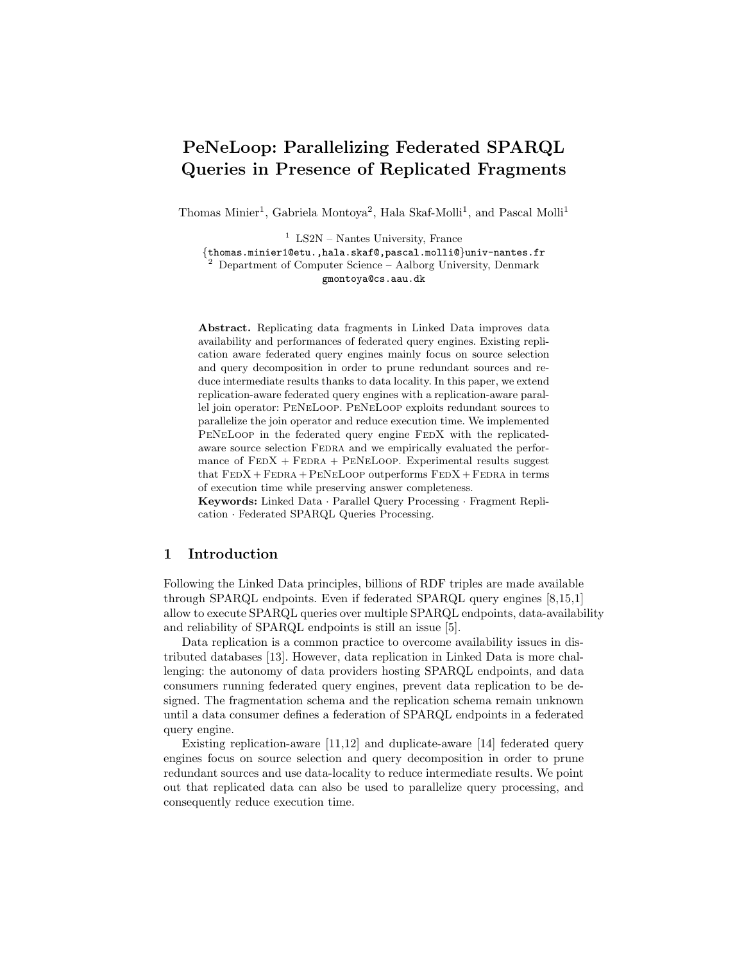# PeNeLoop: Parallelizing Federated SPARQL Queries in Presence of Replicated Fragments

Thomas Minier<sup>1</sup>, Gabriela Montoya<sup>2</sup>, Hala Skaf-Molli<sup>1</sup>, and Pascal Molli<sup>1</sup>

<sup>1</sup> LS2N – Nantes University, France {thomas.minier1@etu.,hala.skaf@,pascal.molli@}univ-nantes.fr  $2$  Department of Computer Science – Aalborg University, Denmark gmontoya@cs.aau.dk

Abstract. Replicating data fragments in Linked Data improves data availability and performances of federated query engines. Existing replication aware federated query engines mainly focus on source selection and query decomposition in order to prune redundant sources and reduce intermediate results thanks to data locality. In this paper, we extend replication-aware federated query engines with a replication-aware parallel join operator: PeNeLoop. PeNeLoop exploits redundant sources to parallelize the join operator and reduce execution time. We implemented PENELOOP in the federated query engine FEDX with the replicatedaware source selection FEDRA and we empirically evaluated the performance of  $FEDX + FEDRA + PENELoop$ . Experimental results suggest that  $FEDX + FEDRA + PENELoop$  outperforms  $FEDX + FEDRA$  in terms of execution time while preserving answer completeness.

Keywords: Linked Data · Parallel Query Processing · Fragment Replication · Federated SPARQL Queries Processing.

# 1 Introduction

Following the Linked Data principles, billions of RDF triples are made available through SPARQL endpoints. Even if federated SPARQL query engines [\[8,](#page-13-0)[15,](#page-13-1)[1\]](#page-12-0) allow to execute SPARQL queries over multiple SPARQL endpoints, data-availability and reliability of SPARQL endpoints is still an issue [\[5\]](#page-12-1).

Data replication is a common practice to overcome availability issues in distributed databases [\[13\]](#page-13-2). However, data replication in Linked Data is more challenging: the autonomy of data providers hosting SPARQL endpoints, and data consumers running federated query engines, prevent data replication to be designed. The fragmentation schema and the replication schema remain unknown until a data consumer defines a federation of SPARQL endpoints in a federated query engine.

Existing replication-aware [\[11,](#page-13-3)[12\]](#page-13-4) and duplicate-aware [\[14\]](#page-13-5) federated query engines focus on source selection and query decomposition in order to prune redundant sources and use data-locality to reduce intermediate results. We point out that replicated data can also be used to parallelize query processing, and consequently reduce execution time.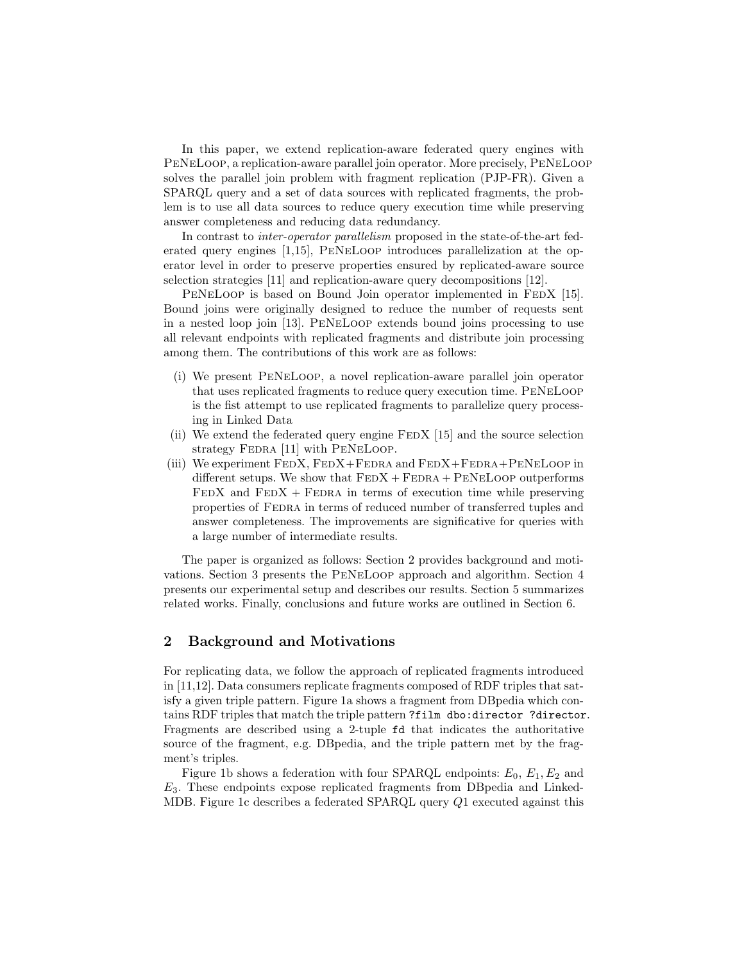In this paper, we extend replication-aware federated query engines with PeNeLoop, a replication-aware parallel join operator. More precisely, PeNeLoop solves the parallel join problem with fragment replication (PJP-FR). Given a SPARQL query and a set of data sources with replicated fragments, the problem is to use all data sources to reduce query execution time while preserving answer completeness and reducing data redundancy.

In contrast to inter-operator parallelism proposed in the state-of-the-art federated query engines [\[1,](#page-12-0)[15\]](#page-13-1), PeNeLoop introduces parallelization at the operator level in order to preserve properties ensured by replicated-aware source selection strategies [\[11\]](#page-13-3) and replication-aware query decompositions [\[12\]](#page-13-4).

PENELOOP is based on Bound Join operator implemented in FEDX [\[15\]](#page-13-1). Bound joins were originally designed to reduce the number of requests sent in a nested loop join [\[13\]](#page-13-2). PeNeLoop extends bound joins processing to use all relevant endpoints with replicated fragments and distribute join processing among them. The contributions of this work are as follows:

- (i) We present PeNeLoop, a novel replication-aware parallel join operator that uses replicated fragments to reduce query execution time. PeNeLoop is the fist attempt to use replicated fragments to parallelize query processing in Linked Data
- (ii) We extend the federated query engine  $FEDX$  [\[15\]](#page-13-1) and the source selection strategy FEDRA [\[11\]](#page-13-3) with PENELOOP.
- (iii) We experiment  $FEDX$ ,  $FEDX + FEDRA$  and  $FEDX + FEDRA + PENELoop$  in different setups. We show that  $FEDX + FEDRA + PENELoop$  outperforms  $FEDX$  and  $FEDX + FEDRA$  in terms of execution time while preserving properties of FEDRA in terms of reduced number of transferred tuples and answer completeness. The improvements are significative for queries with a large number of intermediate results.

The paper is organized as follows: Section [2](#page-1-0) provides background and motivations. Section [3](#page-3-0) presents the PeNeLoop approach and algorithm. Section [4](#page-5-0) presents our experimental setup and describes our results. Section [5](#page-10-0) summarizes related works. Finally, conclusions and future works are outlined in Section [6.](#page-12-2)

# <span id="page-1-0"></span>2 Background and Motivations

For replicating data, we follow the approach of replicated fragments introduced in [\[11](#page-13-3)[,12\]](#page-13-4). Data consumers replicate fragments composed of RDF triples that satisfy a given triple pattern. Figure [1a](#page-2-0) shows a fragment from DBpedia which contains RDF triples that match the triple pattern ?film dbo:director ?director. Fragments are described using a 2-tuple fd that indicates the authoritative source of the fragment, e.g. DBpedia, and the triple pattern met by the fragment's triples.

Figure [1b](#page-2-1) shows a federation with four SPARQL endpoints:  $E_0$ ,  $E_1$ ,  $E_2$  and  $E_3$ . These endpoints expose replicated fragments from DB pedia and Linked-MDB. Figure [1c](#page-2-2) describes a federated SPARQL query Q1 executed against this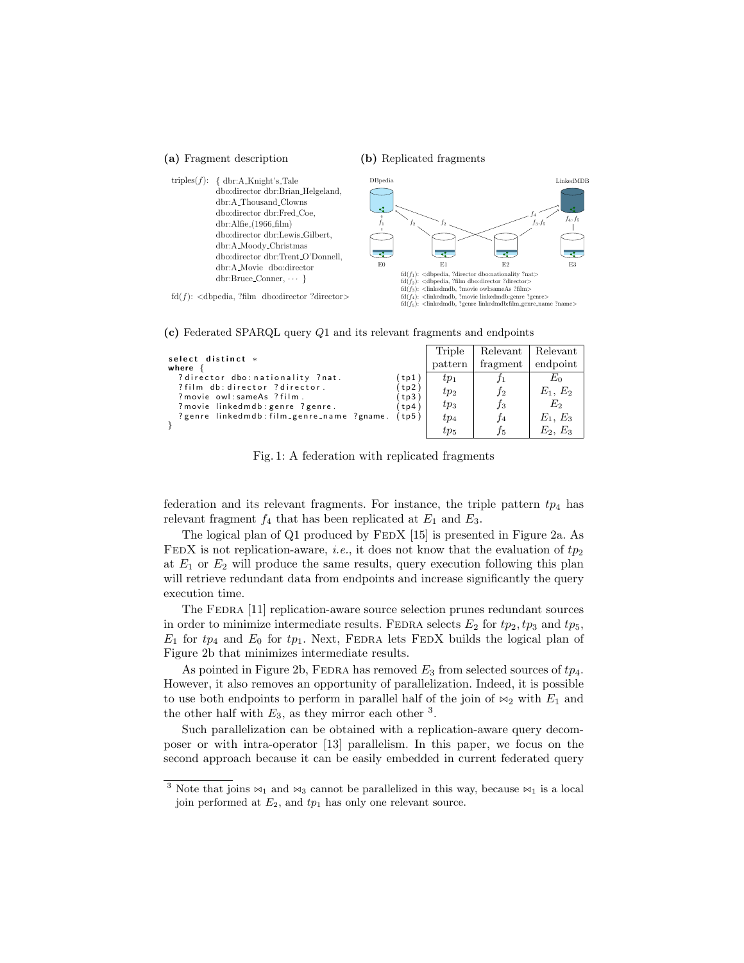#### <span id="page-2-0"></span>(a) Fragment description

<span id="page-2-1"></span>(b) Replicated fragments



<span id="page-2-2"></span>1 (c) Federated SPARQL query Q1 and its relevant fragments and endpoints

|                                                                               |               | Triple   | Relevant | Relevant   |
|-------------------------------------------------------------------------------|---------------|----------|----------|------------|
| select distinct *<br>where                                                    |               | pattern  | fragment | endpoint   |
| ?director dbo: nationality ?nat.                                              | tp1           | $tp_1$   |          | $E_0$      |
| ?film db: director ?director.                                                 | tp2           | $tp_2$   | $_{f2}$  | $E_1, E_2$ |
| ? movie owl: sameAs ? film.                                                   | tp3)          | $tp_3$   | $f_3$    | E2         |
| ? movie linkedmdb: genre ? genre.<br>?genre linkedmdb:film_genre_name ?gname. | tp4)<br>(tp5) |          |          |            |
|                                                                               |               | $tp_4$   |          | $E_1, E_3$ |
|                                                                               |               | $tp_{5}$ |          | $E_2, E_3$ |

Fig. 1: A federation with replicated fragments

federation and its relevant fragments. For instance, the triple pattern  $tp_4$  has relevant fragment  $f_4$  that has been replicated at  $E_1$  and  $E_3$ .

The logical plan of Q1 produced by FEDX [\[15\]](#page-13-1) is presented in Figure [2a.](#page-3-1) As FEDX is not replication-aware, *i.e.*, it does not know that the evaluation of  $tp_2$ at  $E_1$  or  $E_2$  will produce the same results, query execution following this plan will retrieve redundant data from endpoints and increase significantly the query execution time.

The FEDRA [\[11\]](#page-13-3) replication-aware source selection prunes redundant sources in order to minimize intermediate results. FEDRA selects  $E_2$  for  $tp_2, tp_3$  and  $tp_5$ ,  $E_1$  for  $tp_4$  and  $E_0$  for  $tp_1$ . Next, FEDRA lets FEDX builds the logical plan of Figure [2b](#page-3-2) that minimizes intermediate results.

As pointed in Figure [2b,](#page-3-2) FEDRA has removed  $E_3$  from selected sources of  $tp_4$ . However, it also removes an opportunity of parallelization. Indeed, it is possible to use both endpoints to perform in parallel half of the join of  $\bowtie_2$  with  $E_1$  and the other half with  $E_3$  $E_3$ , as they mirror each other <sup>3</sup>.

Such parallelization can be obtained with a replication-aware query decomposer or with intra-operator [\[13\]](#page-13-2) parallelism. In this paper, we focus on the second approach because it can be easily embedded in current federated query

<span id="page-2-3"></span><sup>&</sup>lt;sup>3</sup> Note that joins  $\bowtie_1$  and  $\bowtie_3$  cannot be parallelized in this way, because  $\bowtie_1$  is a local join performed at  $E_2$ , and  $tp_1$  has only one relevant source.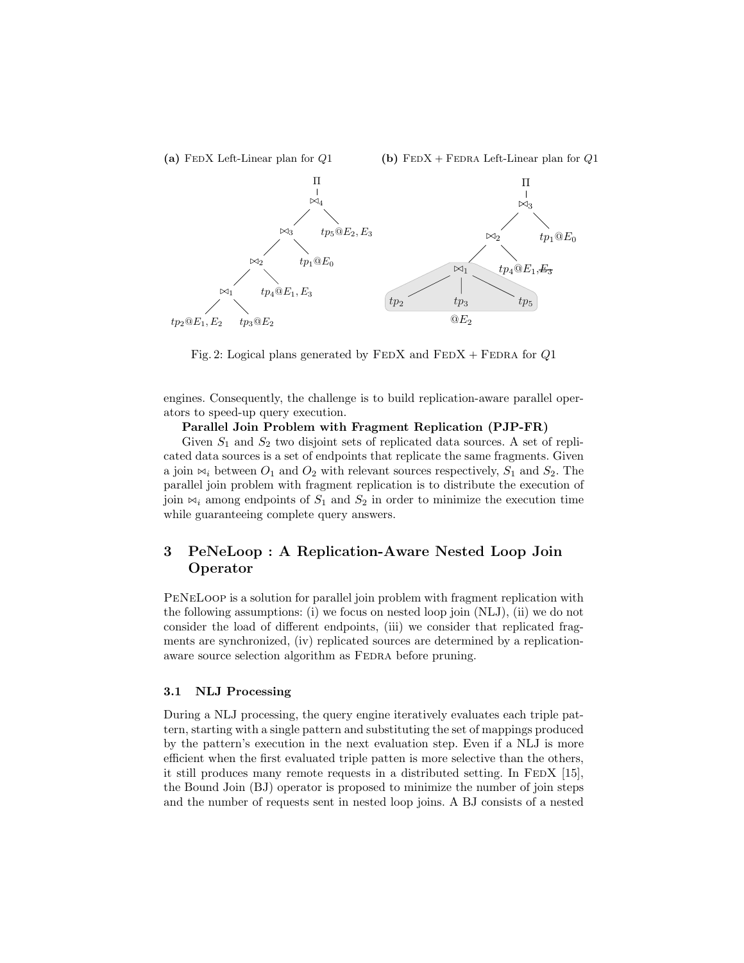<span id="page-3-2"></span><span id="page-3-1"></span>

Fig. 2: Logical plans generated by  $\text{FEDX}$  and  $\text{FEDX}$  +  $\text{FEDRA}$  for  $Q1$ 

engines. Consequently, the challenge is to build replication-aware parallel operators to speed-up query execution.

#### Parallel Join Problem with Fragment Replication (PJP-FR)

Given  $S_1$  and  $S_2$  two disjoint sets of replicated data sources. A set of replicated data sources is a set of endpoints that replicate the same fragments. Given a join  $\bowtie_i$  between  $O_1$  and  $O_2$  with relevant sources respectively,  $S_1$  and  $S_2$ . The parallel join problem with fragment replication is to distribute the execution of join  $\bowtie_i$  among endpoints of  $S_1$  and  $S_2$  in order to minimize the execution time while guaranteeing complete query answers.

# <span id="page-3-0"></span>3 PeNeLoop : A Replication-Aware Nested Loop Join Operator

PeNeLoop is a solution for parallel join problem with fragment replication with the following assumptions: (i) we focus on nested loop join (NLJ), (ii) we do not consider the load of different endpoints, (iii) we consider that replicated fragments are synchronized, (iv) replicated sources are determined by a replicationaware source selection algorithm as FEDRA before pruning.

#### 3.1 NLJ Processing

During a NLJ processing, the query engine iteratively evaluates each triple pattern, starting with a single pattern and substituting the set of mappings produced by the pattern's execution in the next evaluation step. Even if a NLJ is more efficient when the first evaluated triple patten is more selective than the others, it still produces many remote requests in a distributed setting. In FEDX  $[15]$ , the Bound Join (BJ) operator is proposed to minimize the number of join steps and the number of requests sent in nested loop joins. A BJ consists of a nested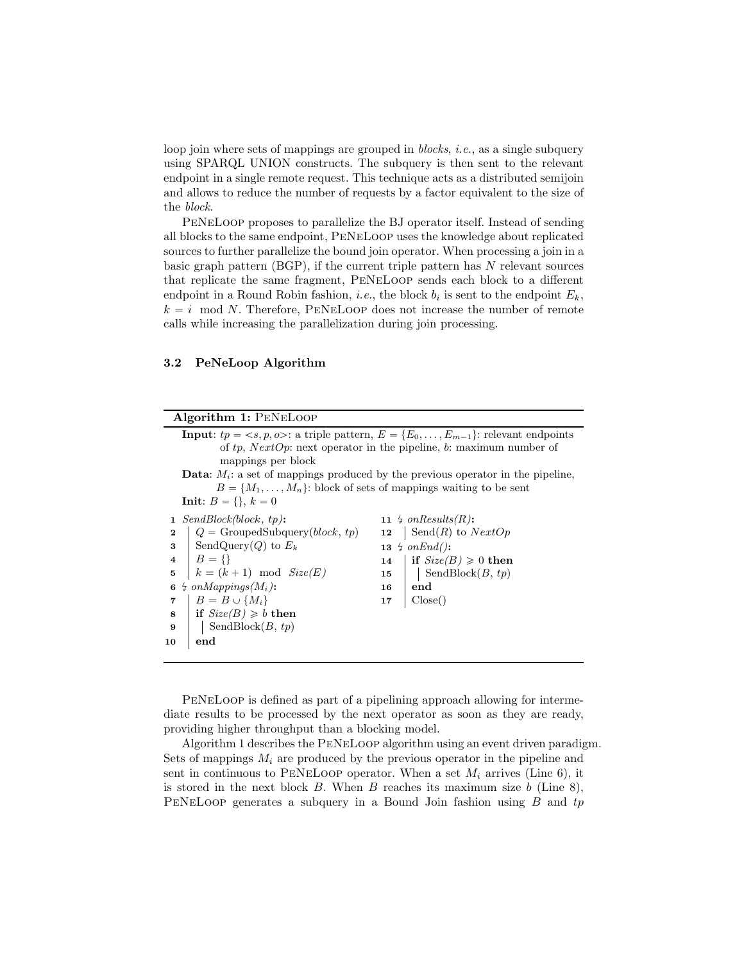loop join where sets of mappings are grouped in *blocks*, *i.e.*, as a single subquery using SPARQL UNION constructs. The subquery is then sent to the relevant endpoint in a single remote request. This technique acts as a distributed semijoin and allows to reduce the number of requests by a factor equivalent to the size of the block.

PeNeLoop proposes to parallelize the BJ operator itself. Instead of sending all blocks to the same endpoint, PeNeLoop uses the knowledge about replicated sources to further parallelize the bound join operator. When processing a join in a basic graph pattern  $(BGP)$ , if the current triple pattern has  $N$  relevant sources that replicate the same fragment, PeNeLoop sends each block to a different endpoint in a Round Robin fashion, *i.e.*, the block  $b_i$  is sent to the endpoint  $E_k$ ,  $k = i \mod N$ . Therefore, PENELOOP does not increase the number of remote calls while increasing the parallelization during join processing.

#### 3.2 PeNeLoop Algorithm

# Algorithm 1: PeNeLoop

<span id="page-4-7"></span><span id="page-4-6"></span><span id="page-4-5"></span><span id="page-4-4"></span><span id="page-4-3"></span><span id="page-4-0"></span>

|                                                                                           | <b>Input:</b> $tp = \langle s, p, \varphi \rangle$ : a triple pattern, $E = \{E_0, \ldots, E_{m-1}\}$ : relevant endpoints |    |                                  |  |  |
|-------------------------------------------------------------------------------------------|----------------------------------------------------------------------------------------------------------------------------|----|----------------------------------|--|--|
|                                                                                           | of tp, NextOp: next operator in the pipeline, b: maximum number of                                                         |    |                                  |  |  |
|                                                                                           | mappings per block                                                                                                         |    |                                  |  |  |
| <b>Data:</b> $M_i$ : a set of mappings produced by the previous operator in the pipeline, |                                                                                                                            |    |                                  |  |  |
| $B = \{M_1, \ldots, M_n\}$ : block of sets of mappings waiting to be sent                 |                                                                                                                            |    |                                  |  |  |
| <b>Init:</b> $B = \{ \}, k = 0$                                                           |                                                                                                                            |    |                                  |  |  |
|                                                                                           | <b>1</b> SendBlock(block, tp):                                                                                             |    | 11 $\frac{1}{2}$ on Results (R): |  |  |
| $\mathbf 2$                                                                               | $Q =$ GroupedSubquery( <i>block</i> , tp)                                                                                  |    | 12   Send $(R)$ to $NextOp$      |  |  |
| 3                                                                                         | SendQuery(Q) to $E_k$                                                                                                      |    | 13 $\frac{1}{2}$ on End():       |  |  |
|                                                                                           | 4   $B = \{\}$                                                                                                             |    | 14   if $Size(B) \geq 0$ then    |  |  |
|                                                                                           | 5 $k = (k+1) \mod Size(E)$                                                                                                 | 15 | $\vert$ SendBlock $(B, tp)$      |  |  |
|                                                                                           | 6 $\frac{1}{2}$ on Mappings $(M_i)$ :                                                                                      | 16 | end                              |  |  |
| 7                                                                                         | $B = B \cup \{M_i\}$                                                                                                       | 17 | Close()                          |  |  |
| 8                                                                                         | if $Size(B) \geq b$ then                                                                                                   |    |                                  |  |  |
| 9                                                                                         | SendBlock $(B, tp)$                                                                                                        |    |                                  |  |  |
| 10                                                                                        | end                                                                                                                        |    |                                  |  |  |
|                                                                                           |                                                                                                                            |    |                                  |  |  |

<span id="page-4-2"></span><span id="page-4-1"></span>PeNeLoop is defined as part of a pipelining approach allowing for intermediate results to be processed by the next operator as soon as they are ready, providing higher throughput than a blocking model.

Algorithm [1](#page-4-0) describes the PeNeLoop algorithm using an event driven paradigm. Sets of mappings  $M_i$  are produced by the previous operator in the pipeline and sent in continuous to PENELOOP operator. When a set  $M_i$  arrives (Line [6\)](#page-4-1), it is stored in the next block  $B$ . When  $B$  reaches its maximum size  $b$  (Line [8\)](#page-4-2), PENELOOP generates a subquery in a Bound Join fashion using  $B$  and  $tp$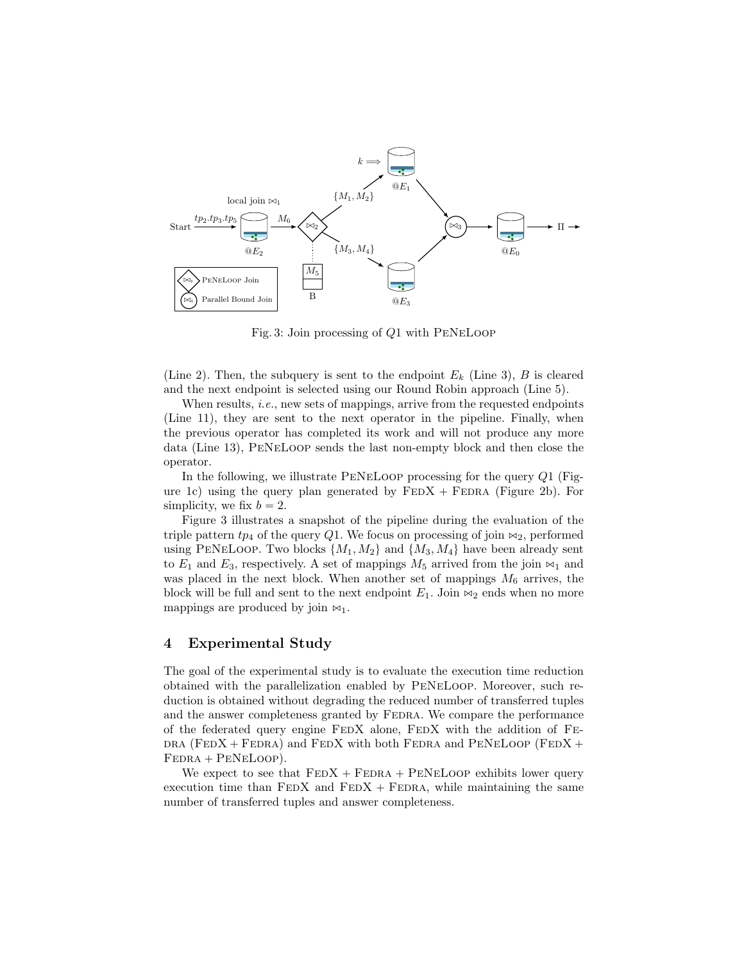<span id="page-5-1"></span>

Fig. 3: Join processing of  $Q1$  with PENELOOP

(Line [2\)](#page-4-3). Then, the subquery is sent to the endpoint  $E_k$  (Line [3\)](#page-4-4), B is cleared and the next endpoint is selected using our Round Robin approach (Line [5\)](#page-4-5).

When results, *i.e.*, new sets of mappings, arrive from the requested endpoints (Line [11\)](#page-4-6), they are sent to the next operator in the pipeline. Finally, when the previous operator has completed its work and will not produce any more data (Line [13\)](#page-4-7), PeNeLoop sends the last non-empty block and then close the operator.

In the following, we illustrate PeNeLoop processing for the query Q1 (Fig-ure [1c\)](#page-2-2) using the query plan generated by  $FEDX + FEDRA$  (Figure [2b\)](#page-3-2). For simplicity, we fix  $b = 2$ .

Figure [3](#page-5-1) illustrates a snapshot of the pipeline during the evaluation of the triple pattern  $tp_4$  of the query Q1. We focus on processing of join  $\bowtie_2$ , performed using PENELOOP. Two blocks  $\{M_1, M_2\}$  and  $\{M_3, M_4\}$  have been already sent to  $E_1$  and  $E_3$ , respectively. A set of mappings  $M_5$  arrived from the join  $\bowtie_1$  and was placed in the next block. When another set of mappings  $M_6$  arrives, the block will be full and sent to the next endpoint  $E_1$ . Join  $\bowtie_2$  ends when no more mappings are produced by join  $\bowtie_1$ .

### <span id="page-5-0"></span>4 Experimental Study

The goal of the experimental study is to evaluate the execution time reduction obtained with the parallelization enabled by PeNeLoop. Moreover, such reduction is obtained without degrading the reduced number of transferred tuples and the answer completeness granted by FEDRA. We compare the performance of the federated query engine FedX alone, FedX with the addition of Fe- $DRA$  (FEDX + FEDRA) and FEDX with both FEDRA and PENELOOP (FEDX +  $FEDRA + PENELoop$ ).

We expect to see that  $FEDX + FEDRA + PENELoop$  exhibits lower query execution time than  $FEDX$  and  $FEDX + FEDRA$ , while maintaining the same number of transferred tuples and answer completeness.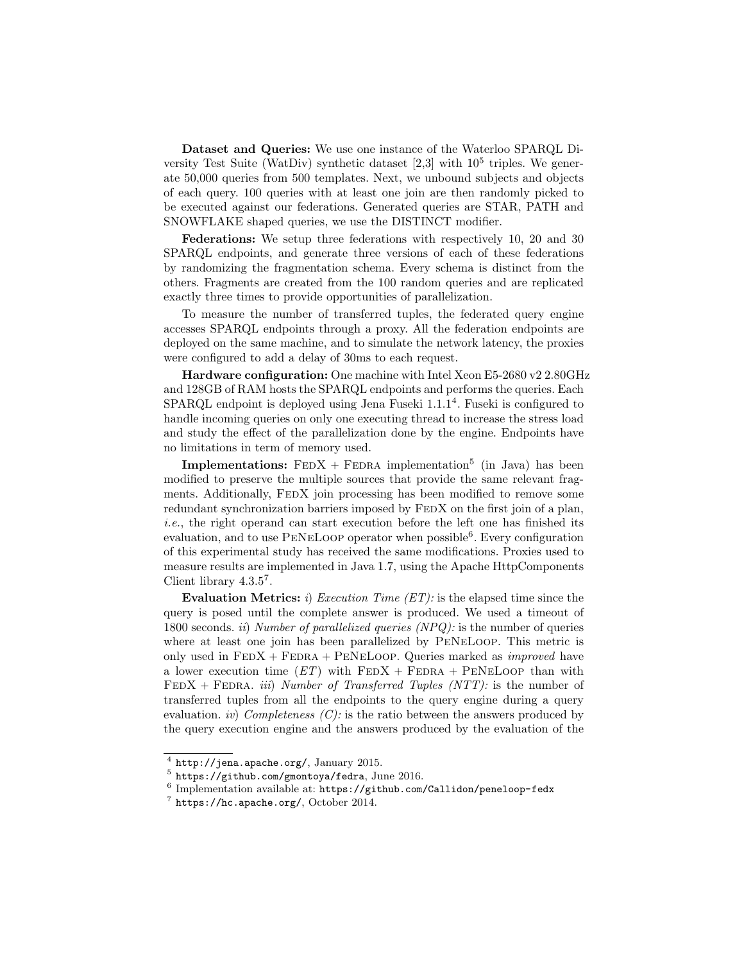Dataset and Queries: We use one instance of the Waterloo SPARQL Diversity Test Suite (WatDiv) synthetic dataset  $[2,3]$  $[2,3]$  with  $10^5$  triples. We generate 50,000 queries from 500 templates. Next, we unbound subjects and objects of each query. 100 queries with at least one join are then randomly picked to be executed against our federations. Generated queries are STAR, PATH and SNOWFLAKE shaped queries, we use the DISTINCT modifier.

Federations: We setup three federations with respectively 10, 20 and 30 SPARQL endpoints, and generate three versions of each of these federations by randomizing the fragmentation schema. Every schema is distinct from the others. Fragments are created from the 100 random queries and are replicated exactly three times to provide opportunities of parallelization.

To measure the number of transferred tuples, the federated query engine accesses SPARQL endpoints through a proxy. All the federation endpoints are deployed on the same machine, and to simulate the network latency, the proxies were configured to add a delay of 30ms to each request.

Hardware configuration: One machine with Intel Xeon E5-2680 v2 2.80GHz and 128GB of RAM hosts the SPARQL endpoints and performs the queries. Each  $SPARQL$  endpoint is deployed using Jena Fuseki  $1.1.1<sup>4</sup>$  $1.1.1<sup>4</sup>$  $1.1.1<sup>4</sup>$ . Fuseki is configured to handle incoming queries on only one executing thread to increase the stress load and study the effect of the parallelization done by the engine. Endpoints have no limitations in term of memory used.

**Implementations:**  $FEDX + FEDRA$  implementation<sup>[5](#page-6-1)</sup> (in Java) has been modified to preserve the multiple sources that provide the same relevant fragments. Additionally, FEDX join processing has been modified to remove some redundant synchronization barriers imposed by FEDX on the first join of a plan, i.e., the right operand can start execution before the left one has finished its evaluation, and to use PENELOOP operator when possible<sup>[6](#page-6-2)</sup>. Every configuration of this experimental study has received the same modifications. Proxies used to measure results are implemented in Java 1.7, using the Apache HttpComponents Client library  $4.3.5^7$  $4.3.5^7$ .

Evaluation Metrics: i) Execution Time  $(ET)$ : is the elapsed time since the query is posed until the complete answer is produced. We used a timeout of 1800 seconds. ii) Number of parallelized queries (NPQ): is the number of queries where at least one join has been parallelized by PeNeLoop. This metric is only used in  $FEDX + FEDRA + PENELoop$ . Queries marked as *improved* have a lower execution time  $(ET)$  with  $FEDX + FEDRA + PENELoop$  than with  $FEDX + FEDRA.$  *iii*) *Number of Transferred Tuples (NTT):* is the number of transferred tuples from all the endpoints to the query engine during a query evaluation. *iv*) Completeness  $(C)$ : is the ratio between the answers produced by the query execution engine and the answers produced by the evaluation of the

<span id="page-6-0"></span> $^4$  <http://jena.apache.org/>, January 2015.

<span id="page-6-1"></span> $^5$  <https://github.com/gmontoya/fedra>, June 2016.

<span id="page-6-2"></span> $6$  Implementation available at: <https://github.com/Callidon/peneloop-fedx>

<span id="page-6-3"></span> $7$  <https://hc.apache.org/>, October 2014.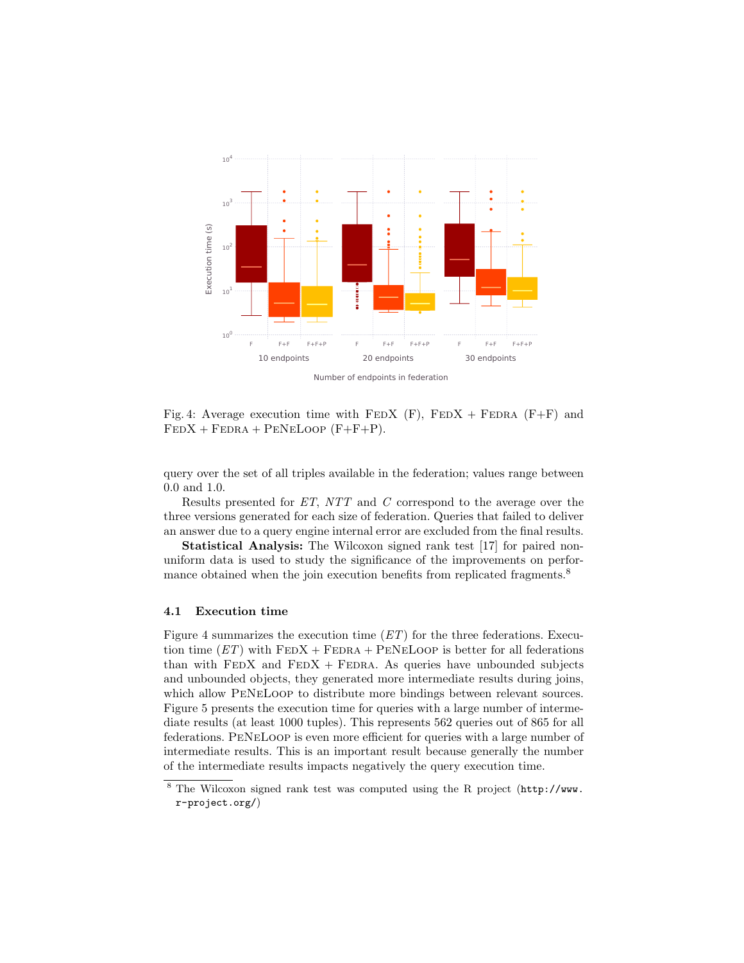<span id="page-7-1"></span>

Number of endpoints in federation

Fig. 4: Average execution time with FEDX  $(F)$ , FEDX + FEDRA  $(F+F)$  and  $FEDX + FEDRA + PENELoop (F+F+P).$ 

query over the set of all triples available in the federation; values range between 0.0 and 1.0.

Results presented for ET, NTT and C correspond to the average over the three versions generated for each size of federation. Queries that failed to deliver an answer due to a query engine internal error are excluded from the final results.

Statistical Analysis: The Wilcoxon signed rank test [\[17\]](#page-13-6) for paired nonuniform data is used to study the significance of the improvements on perfor-mance obtained when the join execution benefits from replicated fragments.<sup>[8](#page-7-0)</sup>

#### 4.1 Execution time

Figure [4](#page-7-1) summarizes the execution time  $(ET)$  for the three federations. Execution time  $ET$ ) with  $FEDX + FEDRA + PENELoop$  is better for all federations than with  $FEDX$  and  $FEDX + FEDRA$ . As queries have unbounded subjects and unbounded objects, they generated more intermediate results during joins, which allow PeNeLoop to distribute more bindings between relevant sources. Figure [5](#page-8-0) presents the execution time for queries with a large number of intermediate results (at least 1000 tuples). This represents 562 queries out of 865 for all federations. PeNeLoop is even more efficient for queries with a large number of intermediate results. This is an important result because generally the number of the intermediate results impacts negatively the query execution time.

<span id="page-7-0"></span><sup>8</sup> The Wilcoxon signed rank test was computed using the R project ([http://www.](http://www.r-project.org/) [r-project.org/](http://www.r-project.org/))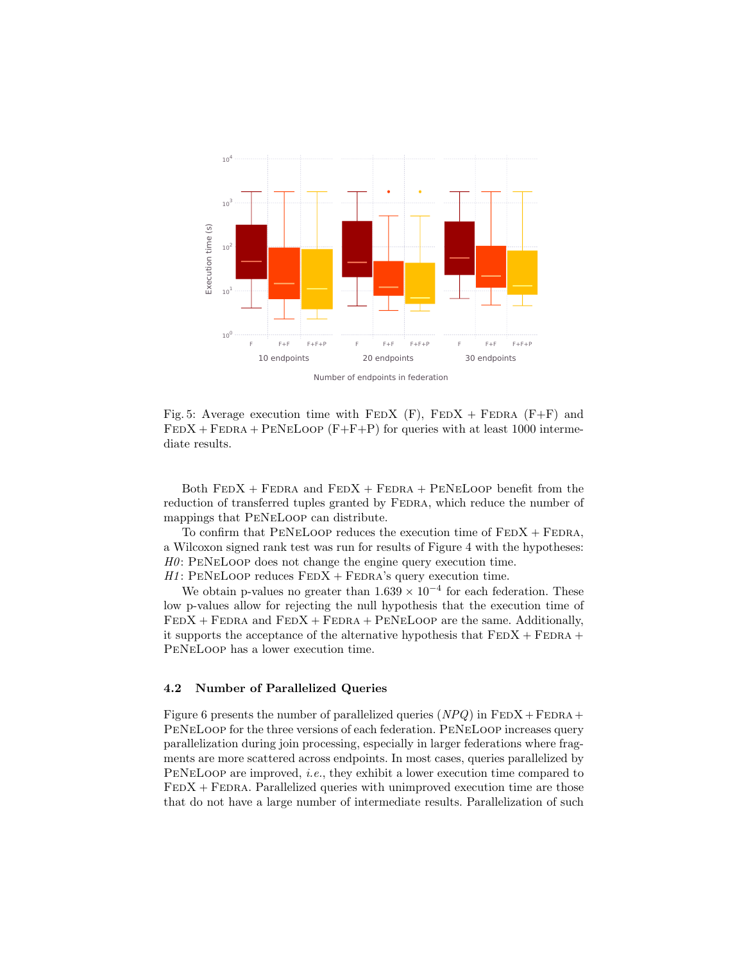<span id="page-8-0"></span>

Number of endpoints in federation

Fig. 5: Average execution time with  $FEDX$  (F),  $FEDX + FEDRA$  (F+F) and  $FEDX + FEDRA + PENELoop (F + F + P)$  for queries with at least 1000 intermediate results.

Both  $FEDX + FEDRA$  and  $FEDX + FEDRA + PENELoop$  benefit from the reduction of transferred tuples granted by FEDRA, which reduce the number of mappings that PeNeLoop can distribute.

To confirm that PENELOOP reduces the execution time of  $FEDX + FEDRA$ , a Wilcoxon signed rank test was run for results of Figure [4](#page-7-1) with the hypotheses:  $H0$ : PENELOOP does not change the engine query execution time.  $H1$ : PENELOOP reduces  $FEDX + FEDRA$ 's query execution time.

We obtain p-values no greater than  $1.639 \times 10^{-4}$  for each federation. These low p-values allow for rejecting the null hypothesis that the execution time of  $FEDX + FEDRA$  and  $FEDX + FEDRA + PENELoop$  are the same. Additionally, it supports the acceptance of the alternative hypothesis that  $FEDX + FEDRA +$ PeNeLoop has a lower execution time.

### 4.2 Number of Parallelized Queries

Figure [6](#page-9-0) presents the number of parallelized queries  $(NPQ)$  in  $FEDX + FEDRA +$ PeNeLoop for the three versions of each federation. PeNeLoop increases query parallelization during join processing, especially in larger federations where fragments are more scattered across endpoints. In most cases, queries parallelized by PENELOOP are improved, *i.e.*, they exhibit a lower execution time compared to  $FEDX + FEDRA$ . Parallelized queries with unimproved execution time are those that do not have a large number of intermediate results. Parallelization of such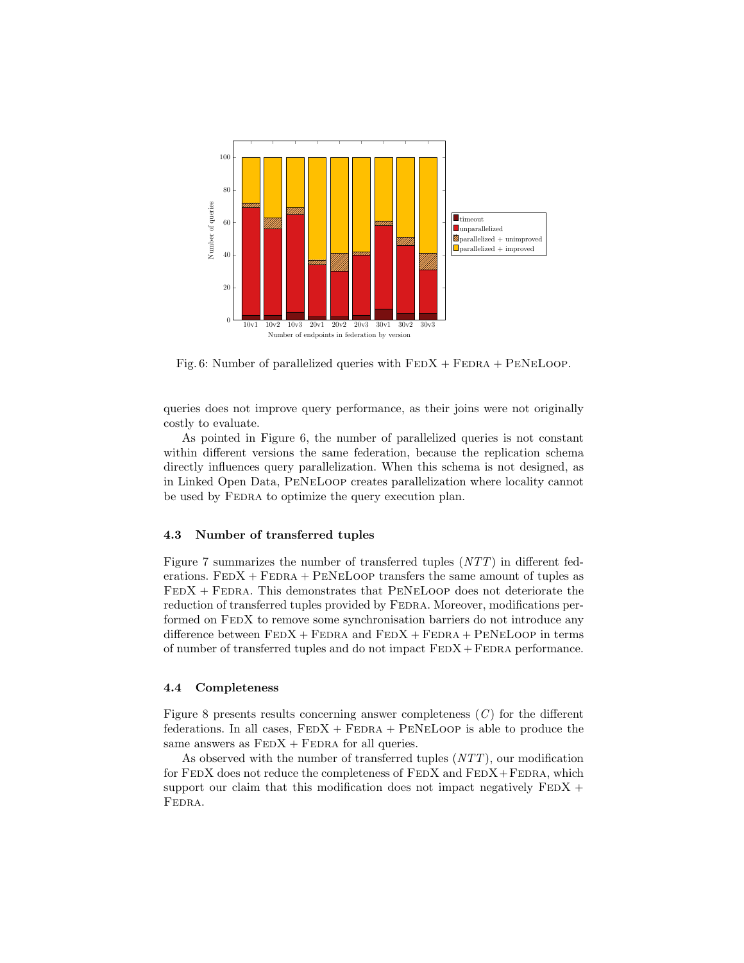<span id="page-9-0"></span>

Fig. 6: Number of parallelized queries with  $FEDX + FEDRA + PENELOOP$ .

queries does not improve query performance, as their joins were not originally costly to evaluate.

As pointed in Figure [6,](#page-9-0) the number of parallelized queries is not constant within different versions the same federation, because the replication schema directly influences query parallelization. When this schema is not designed, as in Linked Open Data, PeNeLoop creates parallelization where locality cannot be used by FEDRA to optimize the query execution plan.

#### 4.3 Number of transferred tuples

Figure [7](#page-10-1) summarizes the number of transferred tuples (NTT) in different federations.  $FEDX + FEDRA + PENELoop$  transfers the same amount of tuples as  $FEDX + FEDRA$ . This demonstrates that PENELOOP does not deteriorate the reduction of transferred tuples provided by FEDRA. Moreover, modifications performed on FEDX to remove some synchronisation barriers do not introduce any difference between  $FEDX + FEDRA$  and  $FEDX + FEDRA + PENELoop$  in terms of number of transferred tuples and do not impact  $FEDX + FEDRA$  performance.

## 4.4 Completeness

Figure [8](#page-11-0) presents results concerning answer completeness  $(C)$  for the different federations. In all cases,  $FEDX + FEDRA + PENELoop$  is able to produce the same answers as  $FEDX + FEDRA$  for all queries.

As observed with the number of transferred tuples (NTT), our modification for  $FEDX$  does not reduce the completeness of  $FEDX$  and  $FEDX + FEDRA$ , which support our claim that this modification does not impact negatively  $FEDX +$ FEDRA.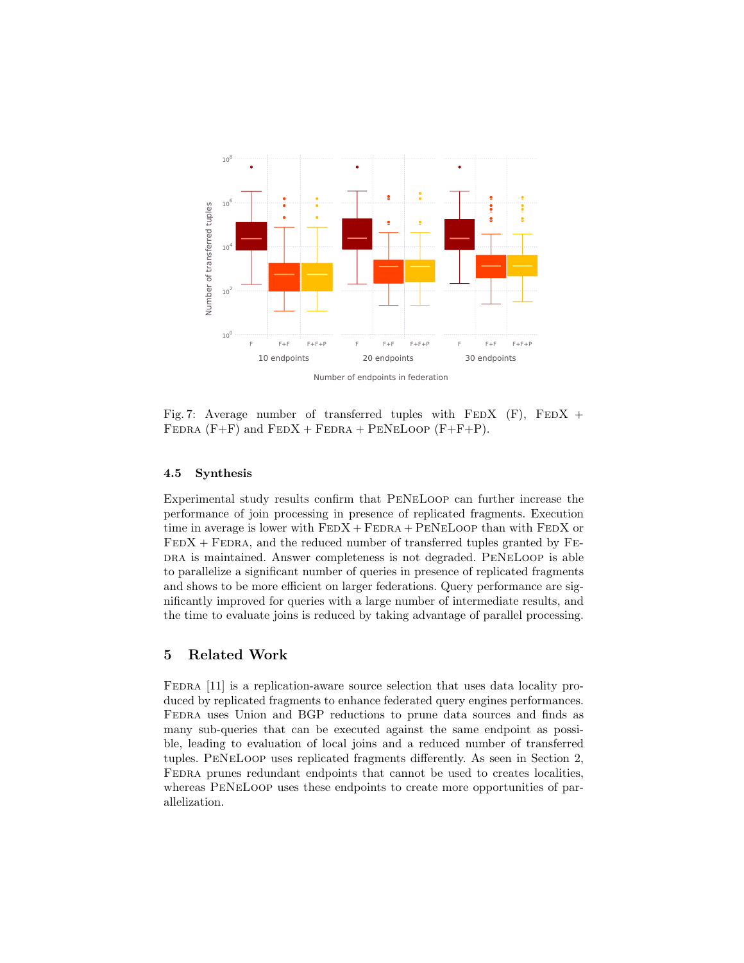<span id="page-10-1"></span>

Number of endpoints in federation

Fig. 7: Average number of transferred tuples with  $FEDX$  (F),  $FEDX$  + FEDRA  $(F+F)$  and  $FEDX + FEDRA + PENELOOP (F+F+P)$ .

#### 4.5 Synthesis

Experimental study results confirm that PeNeLoop can further increase the performance of join processing in presence of replicated fragments. Execution time in average is lower with  $FEDX + FEDRA + PENELoop$  than with  $FEDX$  or  $FEDX + FEDRA$ , and the reduced number of transferred tuples granted by  $FES$ DRA is maintained. Answer completeness is not degraded. PENELOOP is able to parallelize a significant number of queries in presence of replicated fragments and shows to be more efficient on larger federations. Query performance are significantly improved for queries with a large number of intermediate results, and the time to evaluate joins is reduced by taking advantage of parallel processing.

## <span id="page-10-0"></span>5 Related Work

FEDRA [\[11\]](#page-13-3) is a replication-aware source selection that uses data locality produced by replicated fragments to enhance federated query engines performances. FEDRA uses Union and BGP reductions to prune data sources and finds as many sub-queries that can be executed against the same endpoint as possible, leading to evaluation of local joins and a reduced number of transferred tuples. PeNeLoop uses replicated fragments differently. As seen in Section [2,](#page-1-0) Fedra prunes redundant endpoints that cannot be used to creates localities, whereas PeNeLoop uses these endpoints to create more opportunities of parallelization.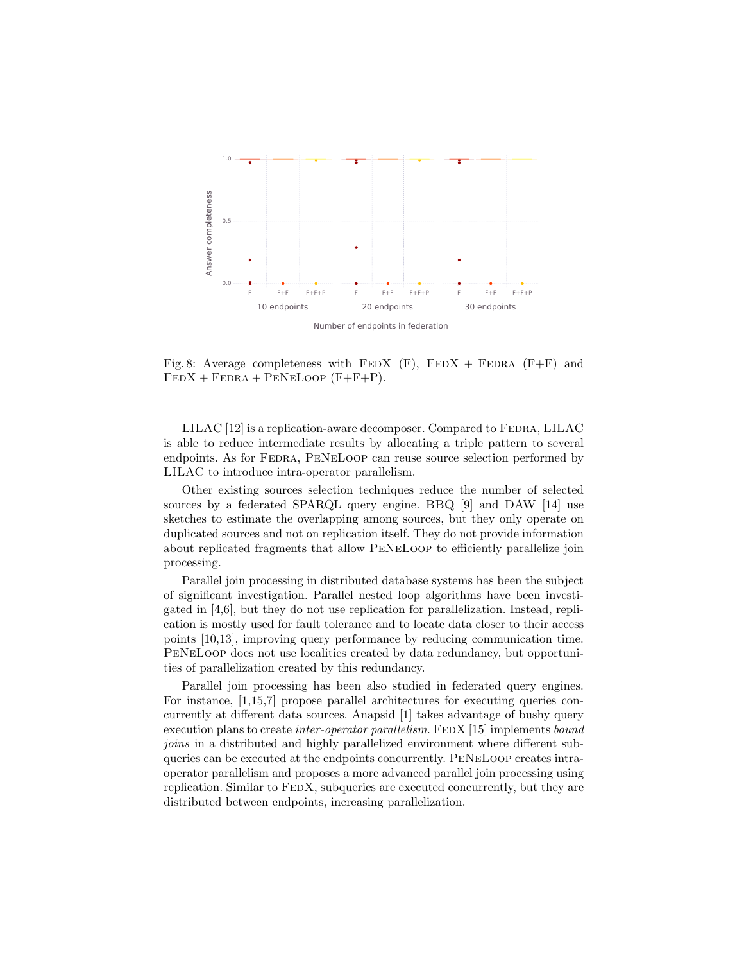<span id="page-11-0"></span>

Fig. 8: Average completeness with  $FEDX$  (F),  $FEDX + FEDRA$  (F+F) and  $FEDX + FEDRA + PENELoop (F+F+P).$ 

LILAC [\[12\]](#page-13-4) is a replication-aware decomposer. Compared to FEDRA, LILAC is able to reduce intermediate results by allocating a triple pattern to several endpoints. As for Fedra, PeNeLoop can reuse source selection performed by LILAC to introduce intra-operator parallelism.

Other existing sources selection techniques reduce the number of selected sources by a federated SPARQL query engine. BBQ [\[9\]](#page-13-7) and DAW [\[14\]](#page-13-5) use sketches to estimate the overlapping among sources, but they only operate on duplicated sources and not on replication itself. They do not provide information about replicated fragments that allow PeNeLoop to efficiently parallelize join processing.

Parallel join processing in distributed database systems has been the subject of significant investigation. Parallel nested loop algorithms have been investigated in [\[4](#page-12-5)[,6\]](#page-12-6), but they do not use replication for parallelization. Instead, replication is mostly used for fault tolerance and to locate data closer to their access points [\[10,](#page-13-8)[13\]](#page-13-2), improving query performance by reducing communication time. PeNeLoop does not use localities created by data redundancy, but opportunities of parallelization created by this redundancy.

Parallel join processing has been also studied in federated query engines. For instance, [\[1,](#page-12-0)[15,](#page-13-1)[7\]](#page-13-9) propose parallel architectures for executing queries concurrently at different data sources. Anapsid [\[1\]](#page-12-0) takes advantage of bushy query execution plans to create *inter-operator parallelism*. FEDX [\[15\]](#page-13-1) implements *bound* joins in a distributed and highly parallelized environment where different subqueries can be executed at the endpoints concurrently. PeNeLoop creates intraoperator parallelism and proposes a more advanced parallel join processing using replication. Similar to FEDX, subqueries are executed concurrently, but they are distributed between endpoints, increasing parallelization.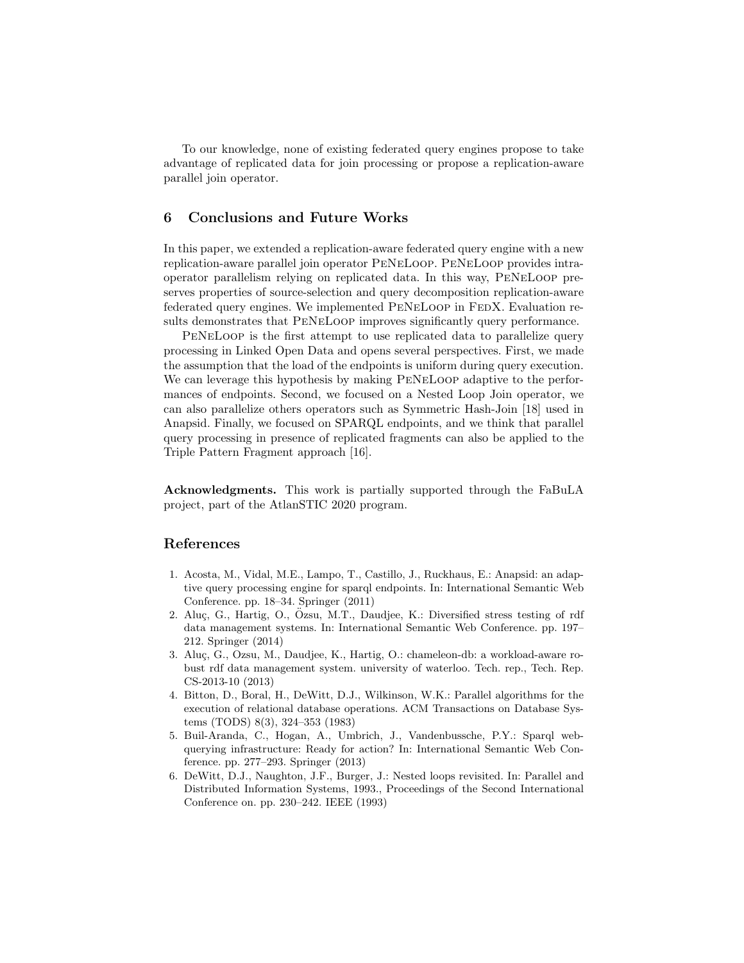To our knowledge, none of existing federated query engines propose to take advantage of replicated data for join processing or propose a replication-aware parallel join operator.

# <span id="page-12-2"></span>6 Conclusions and Future Works

In this paper, we extended a replication-aware federated query engine with a new replication-aware parallel join operator PeNeLoop. PeNeLoop provides intraoperator parallelism relying on replicated data. In this way, PeNeLoop preserves properties of source-selection and query decomposition replication-aware federated query engines. We implemented PENELOOP in FEDX. Evaluation results demonstrates that PeNeLoop improves significantly query performance.

PeNeLoop is the first attempt to use replicated data to parallelize query processing in Linked Open Data and opens several perspectives. First, we made the assumption that the load of the endpoints is uniform during query execution. We can leverage this hypothesis by making PeNeLoop adaptive to the performances of endpoints. Second, we focused on a Nested Loop Join operator, we can also parallelize others operators such as Symmetric Hash-Join [\[18\]](#page-13-10) used in Anapsid. Finally, we focused on SPARQL endpoints, and we think that parallel query processing in presence of replicated fragments can also be applied to the Triple Pattern Fragment approach [\[16\]](#page-13-11).

Acknowledgments. This work is partially supported through the FaBuLA project, part of the AtlanSTIC 2020 program.

# References

- <span id="page-12-0"></span>1. Acosta, M., Vidal, M.E., Lampo, T., Castillo, J., Ruckhaus, E.: Anapsid: an adaptive query processing engine for sparql endpoints. In: International Semantic Web Conference. pp. 18–34. Springer (2011)
- <span id="page-12-3"></span>2. Aluç, G., Hartig, O., Ozsu, M.T., Daudjee, K.: Diversified stress testing of rdf data management systems. In: International Semantic Web Conference. pp. 197– 212. Springer (2014)
- <span id="page-12-4"></span>3. Aluç, G., Ozsu, M., Daudjee, K., Hartig, O.: chameleon-db: a workload-aware robust rdf data management system. university of waterloo. Tech. rep., Tech. Rep. CS-2013-10 (2013)
- <span id="page-12-5"></span>4. Bitton, D., Boral, H., DeWitt, D.J., Wilkinson, W.K.: Parallel algorithms for the execution of relational database operations. ACM Transactions on Database Systems (TODS) 8(3), 324–353 (1983)
- <span id="page-12-1"></span>5. Buil-Aranda, C., Hogan, A., Umbrich, J., Vandenbussche, P.Y.: Sparql webquerying infrastructure: Ready for action? In: International Semantic Web Conference. pp. 277–293. Springer (2013)
- <span id="page-12-6"></span>6. DeWitt, D.J., Naughton, J.F., Burger, J.: Nested loops revisited. In: Parallel and Distributed Information Systems, 1993., Proceedings of the Second International Conference on. pp. 230–242. IEEE (1993)